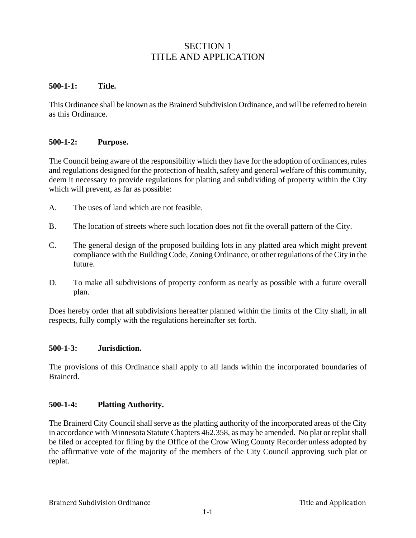# SECTION 1 TITLE AND APPLICATION

#### **500-1-1: Title.**

This Ordinance shall be known as the Brainerd Subdivision Ordinance, and will be referred to herein as this Ordinance.

### **500-1-2: Purpose.**

The Council being aware of the responsibility which they have for the adoption of ordinances, rules and regulations designed for the protection of health, safety and general welfare of this community, deem it necessary to provide regulations for platting and subdividing of property within the City which will prevent, as far as possible:

- A. The uses of land which are not feasible.
- B. The location of streets where such location does not fit the overall pattern of the City.
- C. The general design of the proposed building lots in any platted area which might prevent compliance with the Building Code, Zoning Ordinance, or other regulations of the City in the future.
- D. To make all subdivisions of property conform as nearly as possible with a future overall plan.

Does hereby order that all subdivisions hereafter planned within the limits of the City shall, in all respects, fully comply with the regulations hereinafter set forth.

#### **500-1-3: Jurisdiction.**

The provisions of this Ordinance shall apply to all lands within the incorporated boundaries of Brainerd.

#### **500-1-4: Platting Authority.**

The Brainerd City Council shall serve as the platting authority of the incorporated areas of the City in accordance with Minnesota Statute Chapters 462.358, as may be amended. No plat or replat shall be filed or accepted for filing by the Office of the Crow Wing County Recorder unless adopted by the affirmative vote of the majority of the members of the City Council approving such plat or replat.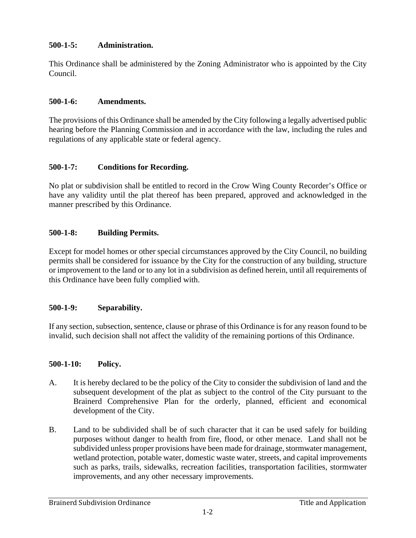### **500-1-5: Administration.**

This Ordinance shall be administered by the Zoning Administrator who is appointed by the City Council.

#### **500-1-6: Amendments.**

The provisions of this Ordinance shall be amended by the City following a legally advertised public hearing before the Planning Commission and in accordance with the law, including the rules and regulations of any applicable state or federal agency.

### **500-1-7: Conditions for Recording.**

No plat or subdivision shall be entitled to record in the Crow Wing County Recorder's Office or have any validity until the plat thereof has been prepared, approved and acknowledged in the manner prescribed by this Ordinance.

### **500-1-8: Building Permits.**

Except for model homes or other special circumstances approved by the City Council, no building permits shall be considered for issuance by the City for the construction of any building, structure or improvement to the land or to any lot in a subdivision as defined herein, until all requirements of this Ordinance have been fully complied with.

### **500-1-9: Separability.**

If any section, subsection, sentence, clause or phrase of this Ordinance is for any reason found to be invalid, such decision shall not affect the validity of the remaining portions of this Ordinance.

#### **500-1-10: Policy.**

- A. It is hereby declared to be the policy of the City to consider the subdivision of land and the subsequent development of the plat as subject to the control of the City pursuant to the Brainerd Comprehensive Plan for the orderly, planned, efficient and economical development of the City.
- B. Land to be subdivided shall be of such character that it can be used safely for building purposes without danger to health from fire, flood, or other menace. Land shall not be subdivided unless proper provisions have been made for drainage, stormwater management, wetland protection, potable water, domestic waste water, streets, and capital improvements such as parks, trails, sidewalks, recreation facilities, transportation facilities, stormwater improvements, and any other necessary improvements.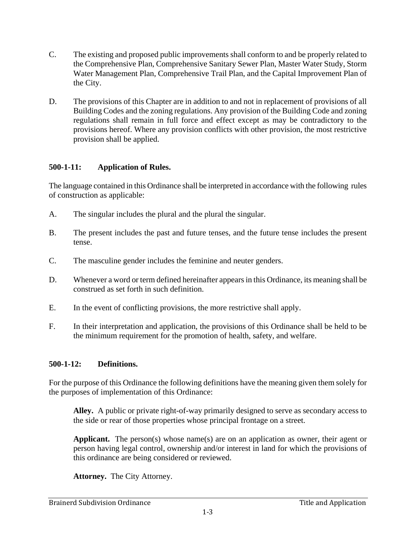- C. The existing and proposed public improvements shall conform to and be properly related to the Comprehensive Plan, Comprehensive Sanitary Sewer Plan, Master Water Study, Storm Water Management Plan, Comprehensive Trail Plan, and the Capital Improvement Plan of the City.
- D. The provisions of this Chapter are in addition to and not in replacement of provisions of all Building Codes and the zoning regulations. Any provision of the Building Code and zoning regulations shall remain in full force and effect except as may be contradictory to the provisions hereof. Where any provision conflicts with other provision, the most restrictive provision shall be applied.

### **500-1-11: Application of Rules.**

The language contained in this Ordinance shall be interpreted in accordance with the following rules of construction as applicable:

- A. The singular includes the plural and the plural the singular.
- B. The present includes the past and future tenses, and the future tense includes the present tense.
- C. The masculine gender includes the feminine and neuter genders.
- D. Whenever a word or term defined hereinafter appears in this Ordinance, its meaning shall be construed as set forth in such definition.
- E. In the event of conflicting provisions, the more restrictive shall apply.
- F. In their interpretation and application, the provisions of this Ordinance shall be held to be the minimum requirement for the promotion of health, safety, and welfare.

## **500-1-12: Definitions.**

For the purpose of this Ordinance the following definitions have the meaning given them solely for the purposes of implementation of this Ordinance:

 **Alley.** A public or private right-of-way primarily designed to serve as secondary access to the side or rear of those properties whose principal frontage on a street.

**Applicant.** The person(s) whose name(s) are on an application as owner, their agent or person having legal control, ownership and/or interest in land for which the provisions of this ordinance are being considered or reviewed.

 **Attorney.** The City Attorney.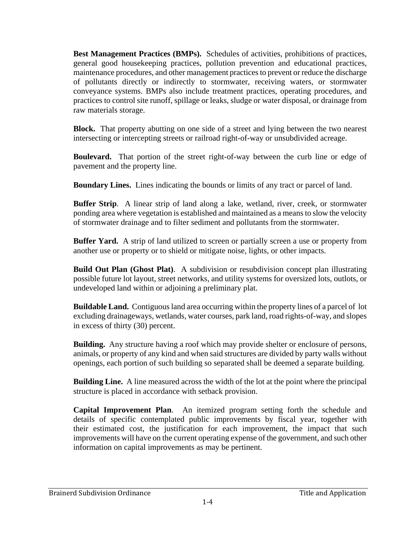**Best Management Practices (BMPs).** Schedules of activities, prohibitions of practices, general good housekeeping practices, pollution prevention and educational practices, maintenance procedures, and other management practices to prevent or reduce the discharge of pollutants directly or indirectly to stormwater, receiving waters, or stormwater conveyance systems. BMPs also include treatment practices, operating procedures, and practices to control site runoff, spillage or leaks, sludge or water disposal, or drainage from raw materials storage.

**Block.** That property abutting on one side of a street and lying between the two nearest intersecting or intercepting streets or railroad right-of-way or unsubdivided acreage.

**Boulevard.** That portion of the street right-of-way between the curb line or edge of pavement and the property line.

**Boundary Lines.** Lines indicating the bounds or limits of any tract or parcel of land.

**Buffer Strip**. A linear strip of land along a lake, wetland, river, creek, or stormwater ponding area where vegetation is established and maintained as a means to slow the velocity of stormwater drainage and to filter sediment and pollutants from the stormwater.

**Buffer Yard.** A strip of land utilized to screen or partially screen a use or property from another use or property or to shield or mitigate noise, lights, or other impacts.

**Build Out Plan (Ghost Plat)**. A subdivision or resubdivision concept plan illustrating possible future lot layout, street networks, and utility systems for oversized lots, outlots, or undeveloped land within or adjoining a preliminary plat.

**Buildable Land.** Contiguous land area occurring within the property lines of a parcel of lot excluding drainageways, wetlands, water courses, park land, road rights-of-way, and slopes in excess of thirty (30) percent.

**Building.** Any structure having a roof which may provide shelter or enclosure of persons, animals, or property of any kind and when said structures are divided by party walls without openings, each portion of such building so separated shall be deemed a separate building.

 **Building Line.** A line measured across the width of the lot at the point where the principal structure is placed in accordance with setback provision.

**Capital Improvement Plan**. An itemized program setting forth the schedule and details of specific contemplated public improvements by fiscal year, together with their estimated cost, the justification for each improvement, the impact that such improvements will have on the current operating expense of the government, and such other information on capital improvements as may be pertinent.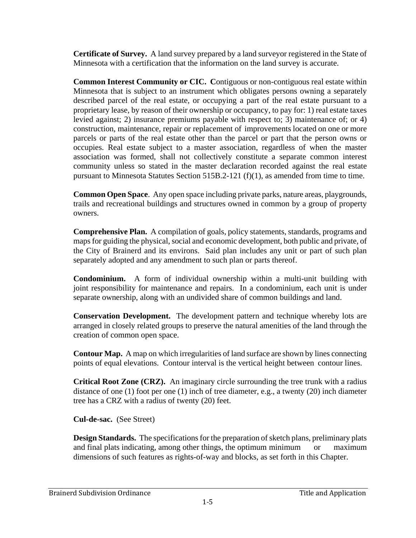**Certificate of Survey.** A land survey prepared by a land surveyor registered in the State of Minnesota with a certification that the information on the land survey is accurate.

**Common Interest Community or CIC. C**ontiguous or non-contiguous real estate within Minnesota that is subject to an instrument which obligates persons owning a separately described parcel of the real estate, or occupying a part of the real estate pursuant to a proprietary lease, by reason of their ownership or occupancy, to pay for: 1) real estate taxes levied against; 2) insurance premiums payable with respect to; 3) maintenance of; or 4) construction, maintenance, repair or replacement of improvements located on one or more parcels or parts of the real estate other than the parcel or part that the person owns or occupies. Real estate subject to a master association, regardless of when the master association was formed, shall not collectively constitute a separate common interest community unless so stated in the master declaration recorded against the real estate pursuant to Minnesota Statutes Section 515B.2-121 (f)(1), as amended from time to time.

**Common Open Space**. Any open space including private parks, nature areas, playgrounds, trails and recreational buildings and structures owned in common by a group of property owners.

**Comprehensive Plan.** A compilation of goals, policy statements, standards, programs and maps for guiding the physical, social and economic development, both public and private, of the City of Brainerd and its environs. Said plan includes any unit or part of such plan separately adopted and any amendment to such plan or parts thereof.

**Condominium.** A form of individual ownership within a multi-unit building with joint responsibility for maintenance and repairs. In a condominium, each unit is under separate ownership, along with an undivided share of common buildings and land.

**Conservation Development.** The development pattern and technique whereby lots are arranged in closely related groups to preserve the natural amenities of the land through the creation of common open space.

**Contour Map.** A map on which irregularities of land surface are shown by lines connecting points of equal elevations. Contour interval is the vertical height between contour lines.

**Critical Root Zone (CRZ).** An imaginary circle surrounding the tree trunk with a radius distance of one (1) foot per one (1) inch of tree diameter, e.g., a twenty (20) inch diameter tree has a CRZ with a radius of twenty (20) feet.

**Cul-de-sac.** (See Street)

**Design Standards.** The specifications for the preparation of sketch plans, preliminary plats and final plats indicating, among other things, the optimum minimum or maximum dimensions of such features as rights-of-way and blocks, as set forth in this Chapter.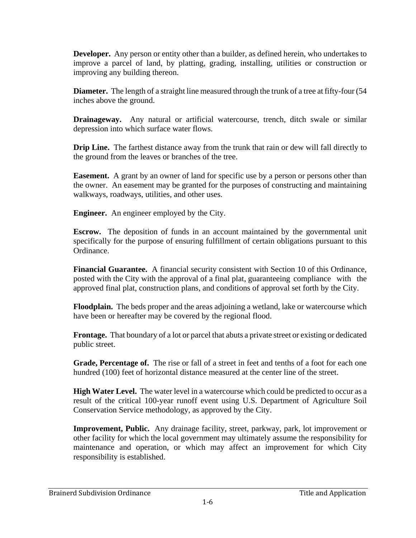**Developer.** Any person or entity other than a builder, as defined herein, who undertakes to improve a parcel of land, by platting, grading, installing, utilities or construction or improving any building thereon.

**Diameter.** The length of a straight line measured through the trunk of a tree at fifty-four (54) inches above the ground.

**Drainageway.** Any natural or artificial watercourse, trench, ditch swale or similar depression into which surface water flows.

**Drip Line.** The farthest distance away from the trunk that rain or dew will fall directly to the ground from the leaves or branches of the tree.

**Easement.** A grant by an owner of land for specific use by a person or persons other than the owner. An easement may be granted for the purposes of constructing and maintaining walkways, roadways, utilities, and other uses.

**Engineer.** An engineer employed by the City.

**Escrow.** The deposition of funds in an account maintained by the governmental unit specifically for the purpose of ensuring fulfillment of certain obligations pursuant to this Ordinance.

**Financial Guarantee.** A financial security consistent with Section 10 of this Ordinance, posted with the City with the approval of a final plat, guaranteeing compliance with the approved final plat, construction plans, and conditions of approval set forth by the City.

**Floodplain.** The beds proper and the areas adjoining a wetland, lake or watercourse which have been or hereafter may be covered by the regional flood.

 **Frontage.** That boundary of a lot or parcel that abuts a private street or existing or dedicated public street.

**Grade, Percentage of.** The rise or fall of a street in feet and tenths of a foot for each one hundred (100) feet of horizontal distance measured at the center line of the street.

**High Water Level.** The water level in a watercourse which could be predicted to occur as a result of the critical 100-year runoff event using U.S. Department of Agriculture Soil Conservation Service methodology, as approved by the City.

**Improvement, Public.** Any drainage facility, street, parkway, park, lot improvement or other facility for which the local government may ultimately assume the responsibility for maintenance and operation, or which may affect an improvement for which City responsibility is established.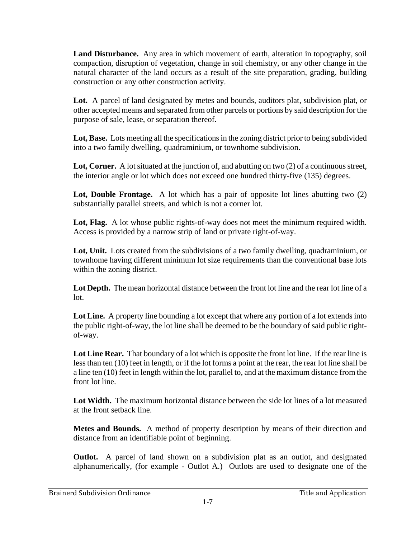**Land Disturbance.** Any area in which movement of earth, alteration in topography, soil compaction, disruption of vegetation, change in soil chemistry, or any other change in the natural character of the land occurs as a result of the site preparation, grading, building construction or any other construction activity.

**Lot.** A parcel of land designated by metes and bounds, auditors plat, subdivision plat, or other accepted means and separated from other parcels or portions by said description for the purpose of sale, lease, or separation thereof.

Lot, Base. Lots meeting all the specifications in the zoning district prior to being subdivided into a two family dwelling, quadraminium, or townhome subdivision.

Lot, Corner. A lot situated at the junction of, and abutting on two (2) of a continuous street, the interior angle or lot which does not exceed one hundred thirty-five (135) degrees.

**Lot, Double Frontage.** A lot which has a pair of opposite lot lines abutting two (2) substantially parallel streets, and which is not a corner lot.

Lot, Flag. A lot whose public rights-of-way does not meet the minimum required width. Access is provided by a narrow strip of land or private right-of-way.

**Lot, Unit.** Lots created from the subdivisions of a two family dwelling, quadraminium, or townhome having different minimum lot size requirements than the conventional base lots within the zoning district.

**Lot Depth.** The mean horizontal distance between the front lot line and the rear lot line of a lot.

Lot Line. A property line bounding a lot except that where any portion of a lot extends into the public right-of-way, the lot line shall be deemed to be the boundary of said public rightof-way.

Lot Line Rear. That boundary of a lot which is opposite the front lot line. If the rear line is less than ten (10) feet in length, or if the lot forms a point at the rear, the rear lot line shall be a line ten (10) feet in length within the lot, parallel to, and at the maximum distance from the front lot line.

**Lot Width.** The maximum horizontal distance between the side lot lines of a lot measured at the front setback line.

**Metes and Bounds.** A method of property description by means of their direction and distance from an identifiable point of beginning.

**Outlot.** A parcel of land shown on a subdivision plat as an outlot, and designated alphanumerically, (for example - Outlot A.) Outlots are used to designate one of the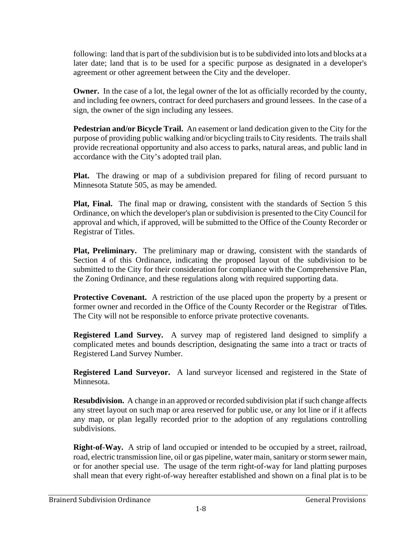following: land that is part of the subdivision but is to be subdivided into lots and blocks at a later date; land that is to be used for a specific purpose as designated in a developer's agreement or other agreement between the City and the developer.

**Owner.** In the case of a lot, the legal owner of the lot as officially recorded by the county, and including fee owners, contract for deed purchasers and ground lessees. In the case of a sign, the owner of the sign including any lessees.

**Pedestrian and/or Bicycle Trail.** An easement or land dedication given to the City for the purpose of providing public walking and/or bicycling trails to City residents. The trails shall provide recreational opportunity and also access to parks, natural areas, and public land in accordance with the City's adopted trail plan.

**Plat.** The drawing or map of a subdivision prepared for filing of record pursuant to Minnesota Statute 505, as may be amended.

**Plat, Final.** The final map or drawing, consistent with the standards of Section 5 this Ordinance, on which the developer's plan or subdivision is presented to the City Council for approval and which, if approved, will be submitted to the Office of the County Recorder or Registrar of Titles.

**Plat, Preliminary.** The preliminary map or drawing, consistent with the standards of Section 4 of this Ordinance, indicating the proposed layout of the subdivision to be submitted to the City for their consideration for compliance with the Comprehensive Plan, the Zoning Ordinance, and these regulations along with required supporting data.

Protective Covenant. A restriction of the use placed upon the property by a present or former owner and recorded in the Office of the County Recorder or the Registrar of Titles. The City will not be responsible to enforce private protective covenants.

**Registered Land Survey.** A survey map of registered land designed to simplify a complicated metes and bounds description, designating the same into a tract or tracts of Registered Land Survey Number.

**Registered Land Surveyor.** A land surveyor licensed and registered in the State of Minnesota.

**Resubdivision.** A change in an approved or recorded subdivision plat if such change affects any street layout on such map or area reserved for public use, or any lot line or if it affects any map, or plan legally recorded prior to the adoption of any regulations controlling subdivisions.

**Right-of-Way.** A strip of land occupied or intended to be occupied by a street, railroad, road, electric transmission line, oil or gas pipeline, water main, sanitary or storm sewer main, or for another special use. The usage of the term right-of-way for land platting purposes shall mean that every right-of-way hereafter established and shown on a final plat is to be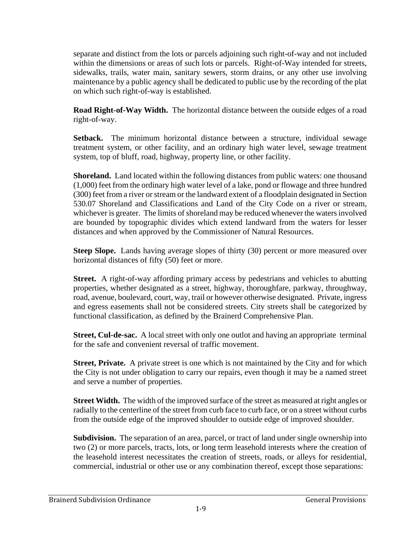separate and distinct from the lots or parcels adjoining such right-of-way and not included within the dimensions or areas of such lots or parcels. Right-of-Way intended for streets, sidewalks, trails, water main, sanitary sewers, storm drains, or any other use involving maintenance by a public agency shall be dedicated to public use by the recording of the plat on which such right-of-way is established.

**Road Right-of-Way Width.** The horizontal distance between the outside edges of a road right-of-way.

**Setback.** The minimum horizontal distance between a structure, individual sewage treatment system, or other facility, and an ordinary high water level, sewage treatment system, top of bluff, road, highway, property line, or other facility.

**Shoreland.** Land located within the following distances from public waters: one thousand (1,000) feet from the ordinary high water level of a lake, pond or flowage and three hundred (300) feet from a river or stream or the landward extent of a floodplain designated in Section 530.07 Shoreland and Classifications and Land of the City Code on a river or stream, whichever is greater. The limits of shoreland may be reduced whenever the waters involved are bounded by topographic divides which extend landward from the waters for lesser distances and when approved by the Commissioner of Natural Resources.

**Steep Slope.** Lands having average slopes of thirty (30) percent or more measured over horizontal distances of fifty (50) feet or more.

**Street.** A right-of-way affording primary access by pedestrians and vehicles to abutting properties, whether designated as a street, highway, thoroughfare, parkway, throughway, road, avenue, boulevard, court, way, trail or however otherwise designated. Private, ingress and egress easements shall not be considered streets. City streets shall be categorized by functional classification, as defined by the Brainerd Comprehensive Plan.

**Street, Cul-de-sac.** A local street with only one outlot and having an appropriate terminal for the safe and convenient reversal of traffic movement.

**Street, Private.** A private street is one which is not maintained by the City and for which the City is not under obligation to carry our repairs, even though it may be a named street and serve a number of properties.

**Street Width.** The width of the improved surface of the street as measured at right angles or radially to the centerline of the street from curb face to curb face, or on a street without curbs from the outside edge of the improved shoulder to outside edge of improved shoulder.

**Subdivision.** The separation of an area, parcel, or tract of land under single ownership into two (2) or more parcels, tracts, lots, or long term leasehold interests where the creation of the leasehold interest necessitates the creation of streets, roads, or alleys for residential, commercial, industrial or other use or any combination thereof, except those separations: